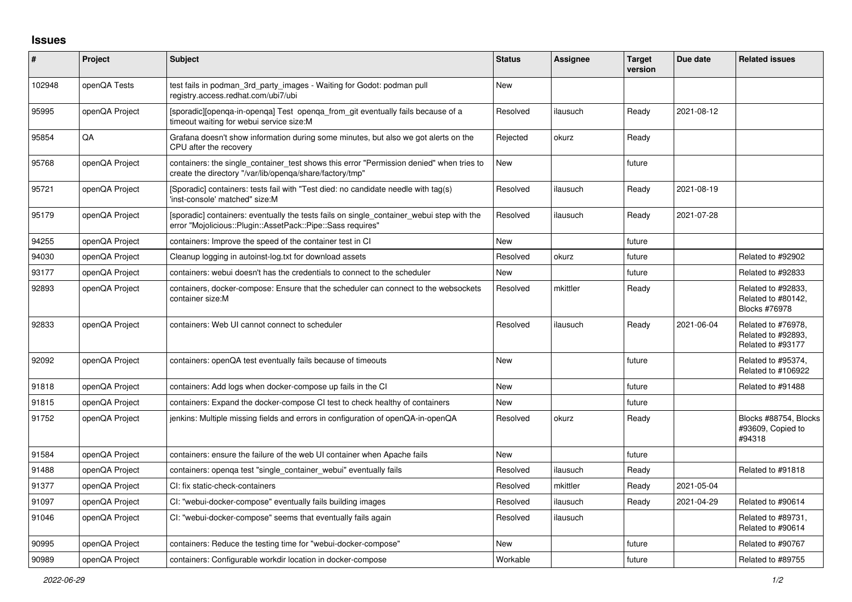## **Issues**

| #      | Project        | <b>Subject</b>                                                                                                                                           | <b>Status</b> | Assignee | <b>Target</b><br>version | Due date   | <b>Related issues</b>                                         |
|--------|----------------|----------------------------------------------------------------------------------------------------------------------------------------------------------|---------------|----------|--------------------------|------------|---------------------------------------------------------------|
| 102948 | openQA Tests   | test fails in podman 3rd party images - Waiting for Godot: podman pull<br>registry.access.redhat.com/ubi7/ubi                                            | <b>New</b>    |          |                          |            |                                                               |
| 95995  | openQA Project | [sporadic][openga-in-openga] Test openga from git eventually fails because of a<br>timeout waiting for webui service size:M                              | Resolved      | ilausuch | Ready                    | 2021-08-12 |                                                               |
| 95854  | QA             | Grafana doesn't show information during some minutes, but also we got alerts on the<br>CPU after the recovery                                            | Rejected      | okurz    | Ready                    |            |                                                               |
| 95768  | openQA Project | containers: the single container test shows this error "Permission denied" when tries to<br>create the directory "/var/lib/openqa/share/factory/tmp"     | New           |          | future                   |            |                                                               |
| 95721  | openQA Project | (Sporadic) containers: tests fail with "Test died: no candidate needle with tag(s)<br>'inst-console' matched" size:M                                     | Resolved      | ilausuch | Ready                    | 2021-08-19 |                                                               |
| 95179  | openQA Project | [sporadic] containers: eventually the tests fails on single_container_webui step with the<br>error "Mojolicious::Plugin::AssetPack::Pipe::Sass requires" | Resolved      | ilausuch | Ready                    | 2021-07-28 |                                                               |
| 94255  | openQA Project | containers: Improve the speed of the container test in CI                                                                                                | <b>New</b>    |          | future                   |            |                                                               |
| 94030  | openQA Project | Cleanup logging in autoinst-log.txt for download assets                                                                                                  | Resolved      | okurz    | future                   |            | Related to #92902                                             |
| 93177  | openQA Project | containers: webui doesn't has the credentials to connect to the scheduler                                                                                | New           |          | future                   |            | Related to #92833                                             |
| 92893  | openQA Project | containers, docker-compose: Ensure that the scheduler can connect to the websockets<br>container size:M                                                  | Resolved      | mkittler | Ready                    |            | Related to #92833,<br>Related to #80142,<br>Blocks #76978     |
| 92833  | openQA Project | containers: Web UI cannot connect to scheduler                                                                                                           | Resolved      | ilausuch | Ready                    | 2021-06-04 | Related to #76978.<br>Related to #92893,<br>Related to #93177 |
| 92092  | openQA Project | containers: openQA test eventually fails because of timeouts                                                                                             | <b>New</b>    |          | future                   |            | Related to #95374,<br>Related to #106922                      |
| 91818  | openQA Project | containers: Add logs when docker-compose up fails in the CI                                                                                              | New           |          | future                   |            | Related to #91488                                             |
| 91815  | openQA Project | containers: Expand the docker-compose CI test to check healthy of containers                                                                             | <b>New</b>    |          | future                   |            |                                                               |
| 91752  | openQA Project | jenkins: Multiple missing fields and errors in configuration of openQA-in-openQA                                                                         | Resolved      | okurz    | Ready                    |            | Blocks #88754, Blocks<br>#93609, Copied to<br>#94318          |
| 91584  | openQA Project | containers: ensure the failure of the web UI container when Apache fails                                                                                 | <b>New</b>    |          | future                   |            |                                                               |
| 91488  | openQA Project | containers: openga test "single container webui" eventually fails                                                                                        | Resolved      | ilausuch | Ready                    |            | Related to #91818                                             |
| 91377  | openQA Project | CI: fix static-check-containers                                                                                                                          | Resolved      | mkittler | Ready                    | 2021-05-04 |                                                               |
| 91097  | openQA Project | CI: "webui-docker-compose" eventually fails building images                                                                                              | Resolved      | ilausuch | Ready                    | 2021-04-29 | Related to #90614                                             |
| 91046  | openQA Project | CI: "webui-docker-compose" seems that eventually fails again                                                                                             | Resolved      | ilausuch |                          |            | Related to #89731,<br>Related to #90614                       |
| 90995  | openQA Project | containers: Reduce the testing time for "webui-docker-compose"                                                                                           | <b>New</b>    |          | future                   |            | Related to #90767                                             |
| 90989  | openQA Project | containers: Configurable workdir location in docker-compose                                                                                              | Workable      |          | future                   |            | Related to #89755                                             |